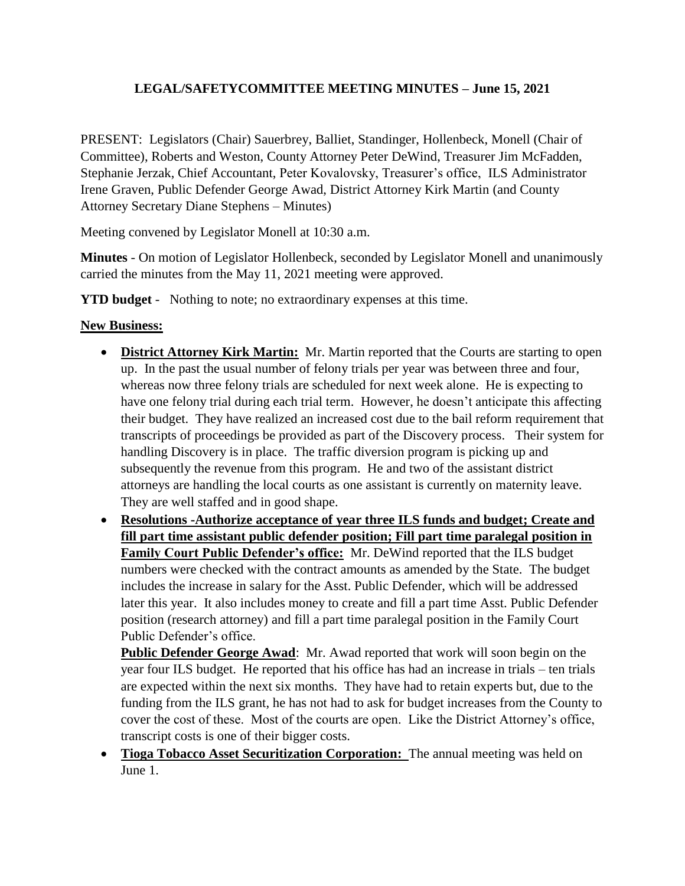## **LEGAL/SAFETYCOMMITTEE MEETING MINUTES – June 15, 2021**

PRESENT: Legislators (Chair) Sauerbrey, Balliet, Standinger, Hollenbeck, Monell (Chair of Committee), Roberts and Weston, County Attorney Peter DeWind, Treasurer Jim McFadden, Stephanie Jerzak, Chief Accountant, Peter Kovalovsky, Treasurer's office, ILS Administrator Irene Graven, Public Defender George Awad, District Attorney Kirk Martin (and County Attorney Secretary Diane Stephens – Minutes)

Meeting convened by Legislator Monell at 10:30 a.m.

**Minutes** - On motion of Legislator Hollenbeck, seconded by Legislator Monell and unanimously carried the minutes from the May 11, 2021 meeting were approved.

**YTD budget** - Nothing to note; no extraordinary expenses at this time.

## **New Business:**

- **District Attorney Kirk Martin:** Mr. Martin reported that the Courts are starting to open up. In the past the usual number of felony trials per year was between three and four, whereas now three felony trials are scheduled for next week alone. He is expecting to have one felony trial during each trial term. However, he doesn't anticipate this affecting their budget. They have realized an increased cost due to the bail reform requirement that transcripts of proceedings be provided as part of the Discovery process. Their system for handling Discovery is in place. The traffic diversion program is picking up and subsequently the revenue from this program. He and two of the assistant district attorneys are handling the local courts as one assistant is currently on maternity leave. They are well staffed and in good shape.
- **Resolutions -Authorize acceptance of year three ILS funds and budget; Create and fill part time assistant public defender position; Fill part time paralegal position in Family Court Public Defender's office:** Mr. DeWind reported that the ILS budget numbers were checked with the contract amounts as amended by the State. The budget includes the increase in salary for the Asst. Public Defender, which will be addressed later this year. It also includes money to create and fill a part time Asst. Public Defender position (research attorney) and fill a part time paralegal position in the Family Court Public Defender's office.

**Public Defender George Awad**: Mr. Awad reported that work will soon begin on the year four ILS budget. He reported that his office has had an increase in trials – ten trials are expected within the next six months. They have had to retain experts but, due to the funding from the ILS grant, he has not had to ask for budget increases from the County to cover the cost of these. Most of the courts are open. Like the District Attorney's office, transcript costs is one of their bigger costs.

 **Tioga Tobacco Asset Securitization Corporation:** The annual meeting was held on June 1.